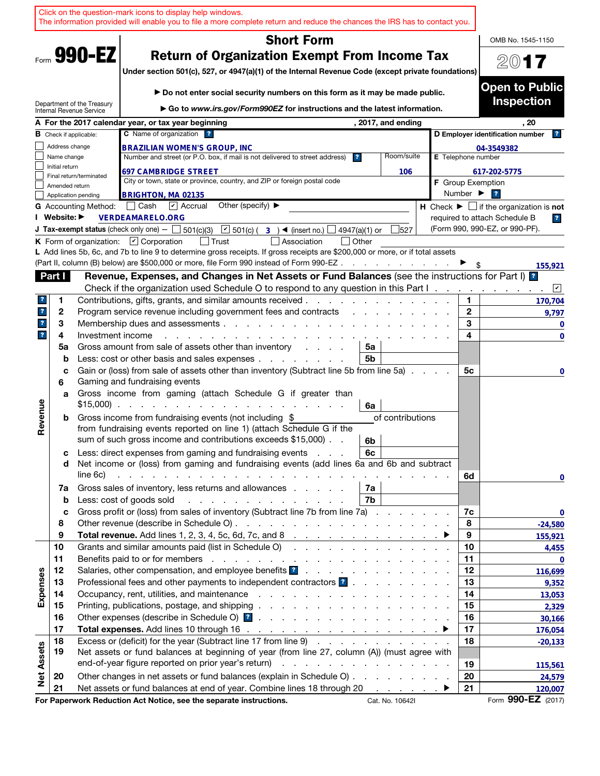|                         |                |                               | Click on the question-mark icons to display help windows.<br>The information provided will enable you to file a more complete return and reduce the chances the IRS has to contact you.                                                                                                             |                              |                                                               |
|-------------------------|----------------|-------------------------------|-----------------------------------------------------------------------------------------------------------------------------------------------------------------------------------------------------------------------------------------------------------------------------------------------------|------------------------------|---------------------------------------------------------------|
|                         |                |                               | <b>Short Form</b>                                                                                                                                                                                                                                                                                   |                              | OMB No. 1545-1150                                             |
|                         |                | Form 990-EZ                   | <b>Return of Organization Exempt From Income Tax</b><br>Under section 501(c), 527, or 4947(a)(1) of the Internal Revenue Code (except private foundations)                                                                                                                                          |                              | $20$ 17                                                       |
|                         |                | Department of the Treasury    | Do not enter social security numbers on this form as it may be made public.                                                                                                                                                                                                                         |                              | <b>Open to Public</b><br><b>Inspection</b>                    |
|                         |                | Internal Revenue Service      | ► Go to www.irs.gov/Form990EZ for instructions and the latest information.                                                                                                                                                                                                                          |                              |                                                               |
|                         |                |                               | A For the 2017 calendar year, or tax year beginning<br>, 2017, and ending<br>C Name of organization ?                                                                                                                                                                                               |                              | . 20<br>D Employer identification number                      |
|                         | Address change | <b>B</b> Check if applicable: |                                                                                                                                                                                                                                                                                                     |                              |                                                               |
|                         | Name change    |                               | <b>BRAZILIAN WOMEN'S GROUP, INC</b><br>Number and street (or P.O. box, if mail is not delivered to street address)<br>Room/suite<br>$\overline{\mathbf{r}}$                                                                                                                                         | E Telephone number           | 04-3549382                                                    |
|                         | Initial return |                               | <b>697 CAMBRIDGE STREET</b><br>106                                                                                                                                                                                                                                                                  |                              | 617-202-5775                                                  |
|                         |                | Final return/terminated       | City or town, state or province, country, and ZIP or foreign postal code                                                                                                                                                                                                                            |                              | <b>F</b> Group Exemption                                      |
|                         | Amended return | Application pending           | <b>BRIGHTON, MA 02135</b>                                                                                                                                                                                                                                                                           | Number $\blacktriangleright$ | $\overline{ }$                                                |
|                         |                | <b>G</b> Accounting Method:   | Other (specify) $\blacktriangleright$<br>│ Cash<br>$\overline{\mathbf{V}}$ Accrual                                                                                                                                                                                                                  |                              | H Check $\blacktriangleright \Box$ if the organization is not |
|                         | I Website: ▶   |                               | <b>VERDEAMARELO.ORG</b>                                                                                                                                                                                                                                                                             |                              | required to attach Schedule B<br>$\overline{r}$               |
|                         |                |                               | $\boxed{\sim}$ 501(c) ( 3 ) (insert no.) $\boxed{\phantom{0}}$<br><b>J Tax-exempt status</b> (check only one) $ \Box$ 501(c)(3)<br>4947(a)(1) or<br>527                                                                                                                                             |                              | (Form 990, 990-EZ, or 990-PF).                                |
|                         |                |                               | K Form of organization: $\Box$ Corporation<br>│ Trust<br>Association<br>l lOther                                                                                                                                                                                                                    |                              |                                                               |
|                         |                |                               | L Add lines 5b, 6c, and 7b to line 9 to determine gross receipts. If gross receipts are \$200,000 or more, or if total assets                                                                                                                                                                       |                              |                                                               |
|                         |                |                               | (Part II, column (B) below) are \$500,000 or more, file Form 990 instead of Form 990-EZ                                                                                                                                                                                                             |                              | 155,921                                                       |
|                         | Part I         |                               | Revenue, Expenses, and Changes in Net Assets or Fund Balances (see the instructions for Part I) <sup>2</sup>                                                                                                                                                                                        |                              |                                                               |
|                         |                |                               | Check if the organization used Schedule O to respond to any question in this Part I.                                                                                                                                                                                                                |                              | $\sqrt{2}$                                                    |
| $\mathbf{r}$            | 1<br>2         |                               | Contributions, gifts, grants, and similar amounts received.<br>Program service revenue including government fees and contracts                                                                                                                                                                      | 1.<br>$\mathbf{2}$           | 170,704                                                       |
| $\mathbf{?}$            | 3              |                               | Membership dues and assessments                                                                                                                                                                                                                                                                     | 3                            | 9,797<br>$\mathbf 0$                                          |
| $\overline{\mathbf{r}}$ | 4              | Investment income             |                                                                                                                                                                                                                                                                                                     | 4                            | $\mathbf 0$                                                   |
|                         | 5a             |                               | Gross amount from sale of assets other than inventory<br>5a<br>and a state of                                                                                                                                                                                                                       |                              |                                                               |
|                         | b              |                               | Less: cost or other basis and sales expenses<br>5b                                                                                                                                                                                                                                                  |                              |                                                               |
|                         | c<br>6         |                               | Gain or (loss) from sale of assets other than inventory (Subtract line 5b from line 5a)<br>Gaming and fundraising events                                                                                                                                                                            | 5с                           | 0                                                             |
|                         | a              |                               | Gross income from gaming (attach Schedule G if greater than<br>$$15,000$<br>6a                                                                                                                                                                                                                      |                              |                                                               |
| Revenue                 | b              |                               | Gross income from fundraising events (not including \$<br>of contributions<br>from fundraising events reported on line 1) (attach Schedule G if the<br>sum of such gross income and contributions exceeds \$15,000).<br>6b                                                                          |                              |                                                               |
|                         | с<br>d         |                               | Less: direct expenses from gaming and fundraising events<br>6с<br>Net income or (loss) from gaming and fundraising events (add lines 6a and 6b and subtract                                                                                                                                         |                              |                                                               |
|                         | 7a             | line 6c)                      | and the contract of the contract of the contract of the contract of the contract of the contract of the contract of the contract of the contract of the contract of the contract of the contract of the contract of the contra<br>Gross sales of inventory, less returns and allowances<br>7a       | 6d                           | 0                                                             |
|                         | $\mathbf b$    |                               | 7b<br>Less: cost of goods sold                                                                                                                                                                                                                                                                      |                              |                                                               |
|                         | c              |                               | Gross profit or (loss) from sales of inventory (Subtract line 7b from line 7a)                                                                                                                                                                                                                      | 7c                           | 0                                                             |
|                         | 8              |                               |                                                                                                                                                                                                                                                                                                     | 8                            | $-24,580$                                                     |
|                         | 9              |                               | Total revenue. Add lines 1, 2, 3, 4, 5c, 6d, 7c, and 8 $\ldots$ $\ldots$ $\ldots$ $\ldots$ $\ldots$ $\ldots$                                                                                                                                                                                        | 9                            | 155,921                                                       |
|                         | 10             |                               | Grants and similar amounts paid (list in Schedule O)                                                                                                                                                                                                                                                | 10                           | 4,455                                                         |
|                         | 11             |                               |                                                                                                                                                                                                                                                                                                     | 11                           | 0                                                             |
|                         | 12             |                               | Salaries, other compensation, and employee benefits <b>1</b>                                                                                                                                                                                                                                        | 12                           | 116,699                                                       |
| Expenses                | 13             |                               | Professional fees and other payments to independent contractors ?<br>Occupancy, rent, utilities, and maintenance response to the contract of the contract of the contract of the contract of the contract of the contract of the contract of the contract of the contract of the contract of the co | 13<br>14                     | 9,352                                                         |
|                         | 14<br>15       |                               |                                                                                                                                                                                                                                                                                                     | 15                           | 13,053<br>2,329                                               |
|                         | 16             |                               |                                                                                                                                                                                                                                                                                                     | 16                           | 30,166                                                        |
|                         | 17             |                               |                                                                                                                                                                                                                                                                                                     | 17                           | 176,054                                                       |
|                         | 18             |                               | Excess or (deficit) for the year (Subtract line 17 from line 9)                                                                                                                                                                                                                                     | 18                           | $-20,133$                                                     |
| <b>Net Assets</b>       | 19             |                               | Net assets or fund balances at beginning of year (from line 27, column (A)) (must agree with                                                                                                                                                                                                        |                              |                                                               |
|                         |                |                               |                                                                                                                                                                                                                                                                                                     | 19                           | 115,561                                                       |
|                         | 20             |                               | Other changes in net assets or fund balances (explain in Schedule O)                                                                                                                                                                                                                                | 20                           | 24,579                                                        |
|                         | 21             |                               | Net assets or fund balances at end of year. Combine lines 18 through 20                                                                                                                                                                                                                             | 21                           | 120,007                                                       |
|                         |                |                               | For Paperwork Reduction Act Notice, see the separate instructions.<br>Cat. No. 10642I                                                                                                                                                                                                               |                              | Form 990-EZ (2017)                                            |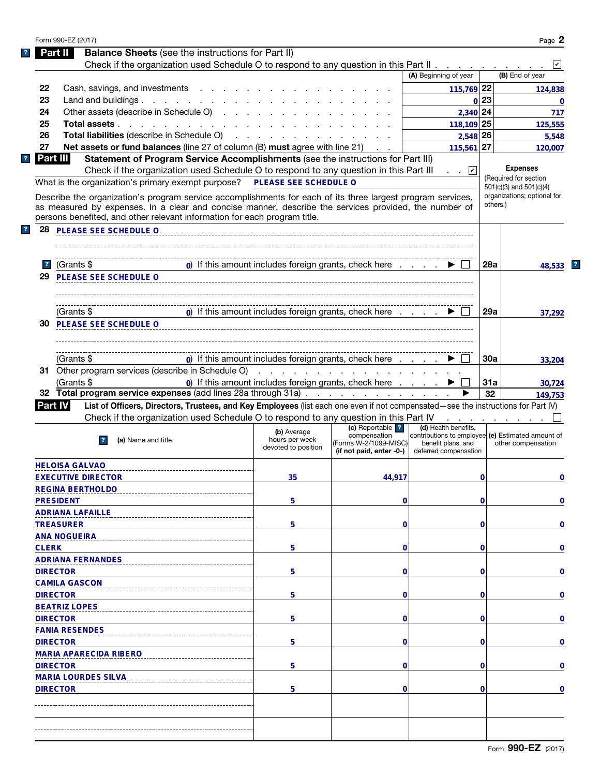| Form 990-EZ (2017)                                                                                                                                                                                                                                                                                                                                                                                                                                                                                                                                    |                                                                                                                                                                                                                                                                                                                                                                                                                                                         |                                                       |                                                                                         |                                                                                                                          |          | Page 2                                                                                                                |
|-------------------------------------------------------------------------------------------------------------------------------------------------------------------------------------------------------------------------------------------------------------------------------------------------------------------------------------------------------------------------------------------------------------------------------------------------------------------------------------------------------------------------------------------------------|---------------------------------------------------------------------------------------------------------------------------------------------------------------------------------------------------------------------------------------------------------------------------------------------------------------------------------------------------------------------------------------------------------------------------------------------------------|-------------------------------------------------------|-----------------------------------------------------------------------------------------|--------------------------------------------------------------------------------------------------------------------------|----------|-----------------------------------------------------------------------------------------------------------------------|
| Part II                                                                                                                                                                                                                                                                                                                                                                                                                                                                                                                                               | <b>Balance Sheets</b> (see the instructions for Part II)                                                                                                                                                                                                                                                                                                                                                                                                |                                                       |                                                                                         |                                                                                                                          |          |                                                                                                                       |
|                                                                                                                                                                                                                                                                                                                                                                                                                                                                                                                                                       | Check if the organization used Schedule O to respond to any question in this Part II                                                                                                                                                                                                                                                                                                                                                                    |                                                       |                                                                                         |                                                                                                                          |          |                                                                                                                       |
|                                                                                                                                                                                                                                                                                                                                                                                                                                                                                                                                                       |                                                                                                                                                                                                                                                                                                                                                                                                                                                         |                                                       |                                                                                         | (A) Beginning of year                                                                                                    |          | (B) End of year                                                                                                       |
| 22                                                                                                                                                                                                                                                                                                                                                                                                                                                                                                                                                    | Cash, savings, and investments                                                                                                                                                                                                                                                                                                                                                                                                                          |                                                       |                                                                                         | 115,769 22                                                                                                               |          | 124,838                                                                                                               |
| 23                                                                                                                                                                                                                                                                                                                                                                                                                                                                                                                                                    | Land and buildings                                                                                                                                                                                                                                                                                                                                                                                                                                      |                                                       |                                                                                         |                                                                                                                          | 0 23     | $\bf{0}$                                                                                                              |
| 24                                                                                                                                                                                                                                                                                                                                                                                                                                                                                                                                                    | Other assets (describe in Schedule O)                                                                                                                                                                                                                                                                                                                                                                                                                   |                                                       |                                                                                         | 2,340 24                                                                                                                 |          | 717                                                                                                                   |
| 25                                                                                                                                                                                                                                                                                                                                                                                                                                                                                                                                                    | Total assets                                                                                                                                                                                                                                                                                                                                                                                                                                            |                                                       |                                                                                         | $118,109$ 25                                                                                                             |          | 125,555                                                                                                               |
| 26                                                                                                                                                                                                                                                                                                                                                                                                                                                                                                                                                    | <b>Total liabilities</b> (describe in Schedule O)                                                                                                                                                                                                                                                                                                                                                                                                       | and a strain and a strain and                         |                                                                                         | 2,548 26                                                                                                                 |          | 5,548                                                                                                                 |
| 27                                                                                                                                                                                                                                                                                                                                                                                                                                                                                                                                                    | Net assets or fund balances (line 27 of column (B) must agree with line 21)                                                                                                                                                                                                                                                                                                                                                                             |                                                       |                                                                                         | $115,561$ 27                                                                                                             |          | 120,007                                                                                                               |
| Part III                                                                                                                                                                                                                                                                                                                                                                                                                                                                                                                                              | Statement of Program Service Accomplishments (see the instructions for Part III)<br>Check if the organization used Schedule O to respond to any question in this Part III<br>What is the organization's primary exempt purpose?<br>Describe the organization's program service accomplishments for each of its three largest program services,<br>as measured by expenses. In a clear and concise manner, describe the services provided, the number of | PLEASE SEE SCHEDULE O                                 |                                                                                         | . .   v                                                                                                                  | others.) | <b>Expenses</b><br>(Required for section<br>501(c)(3) and 501(c)(4)<br>organizations; optional for                    |
| 28<br>PLEASE SEE SCHEDULE O                                                                                                                                                                                                                                                                                                                                                                                                                                                                                                                           | persons benefited, and other relevant information for each program title.                                                                                                                                                                                                                                                                                                                                                                               |                                                       |                                                                                         |                                                                                                                          |          |                                                                                                                       |
| (Grants \$<br>$\mathbf{r}$                                                                                                                                                                                                                                                                                                                                                                                                                                                                                                                            |                                                                                                                                                                                                                                                                                                                                                                                                                                                         | 0) If this amount includes foreign grants, check here |                                                                                         |                                                                                                                          | 28a      | 48,533                                                                                                                |
| 29<br><b>PLEASE SEE SCHEDULE O</b>                                                                                                                                                                                                                                                                                                                                                                                                                                                                                                                    |                                                                                                                                                                                                                                                                                                                                                                                                                                                         |                                                       |                                                                                         |                                                                                                                          |          |                                                                                                                       |
| (Grants \$                                                                                                                                                                                                                                                                                                                                                                                                                                                                                                                                            |                                                                                                                                                                                                                                                                                                                                                                                                                                                         | 0) If this amount includes foreign grants, check here |                                                                                         |                                                                                                                          | 29a      | 37,292                                                                                                                |
| PLEASE SEE SCHEDULE O<br>30                                                                                                                                                                                                                                                                                                                                                                                                                                                                                                                           |                                                                                                                                                                                                                                                                                                                                                                                                                                                         |                                                       |                                                                                         |                                                                                                                          |          |                                                                                                                       |
| (Grants \$                                                                                                                                                                                                                                                                                                                                                                                                                                                                                                                                            |                                                                                                                                                                                                                                                                                                                                                                                                                                                         | 0) If this amount includes foreign grants, check here |                                                                                         |                                                                                                                          | 30a      | 33,204                                                                                                                |
|                                                                                                                                                                                                                                                                                                                                                                                                                                                                                                                                                       |                                                                                                                                                                                                                                                                                                                                                                                                                                                         |                                                       |                                                                                         |                                                                                                                          |          |                                                                                                                       |
|                                                                                                                                                                                                                                                                                                                                                                                                                                                                                                                                                       |                                                                                                                                                                                                                                                                                                                                                                                                                                                         |                                                       | .                                                                                       |                                                                                                                          | 31a      |                                                                                                                       |
| (Grants \$                                                                                                                                                                                                                                                                                                                                                                                                                                                                                                                                            | 32 Total program service expenses (add lines 28a through 31a)                                                                                                                                                                                                                                                                                                                                                                                           | 0) If this amount includes foreign grants, check here |                                                                                         |                                                                                                                          | 32       |                                                                                                                       |
|                                                                                                                                                                                                                                                                                                                                                                                                                                                                                                                                                       | List of Officers, Directors, Trustees, and Key Employees (list each one even if not compensated—see the instructions for Part IV)                                                                                                                                                                                                                                                                                                                       |                                                       |                                                                                         |                                                                                                                          |          |                                                                                                                       |
|                                                                                                                                                                                                                                                                                                                                                                                                                                                                                                                                                       | Check if the organization used Schedule O to respond to any question in this Part IV                                                                                                                                                                                                                                                                                                                                                                    |                                                       |                                                                                         |                                                                                                                          |          |                                                                                                                       |
| (a) Name and title<br>$\overline{ }$ ?                                                                                                                                                                                                                                                                                                                                                                                                                                                                                                                |                                                                                                                                                                                                                                                                                                                                                                                                                                                         | (b) Average<br>hours per week<br>devoted to position  | (c) Reportable   ?<br>compensation<br>(Forms W-2/1099-MISC)<br>(if not paid, enter -0-) | (d) Health benefits,<br>contributions to employee (e) Estimated amount of<br>benefit plans, and<br>deferred compensation |          | other compensation                                                                                                    |
|                                                                                                                                                                                                                                                                                                                                                                                                                                                                                                                                                       |                                                                                                                                                                                                                                                                                                                                                                                                                                                         |                                                       |                                                                                         |                                                                                                                          |          |                                                                                                                       |
|                                                                                                                                                                                                                                                                                                                                                                                                                                                                                                                                                       |                                                                                                                                                                                                                                                                                                                                                                                                                                                         | 35                                                    | 44,917                                                                                  |                                                                                                                          | 0        |                                                                                                                       |
|                                                                                                                                                                                                                                                                                                                                                                                                                                                                                                                                                       |                                                                                                                                                                                                                                                                                                                                                                                                                                                         |                                                       |                                                                                         |                                                                                                                          |          |                                                                                                                       |
|                                                                                                                                                                                                                                                                                                                                                                                                                                                                                                                                                       |                                                                                                                                                                                                                                                                                                                                                                                                                                                         | 5                                                     | 0                                                                                       |                                                                                                                          | 0        |                                                                                                                       |
|                                                                                                                                                                                                                                                                                                                                                                                                                                                                                                                                                       |                                                                                                                                                                                                                                                                                                                                                                                                                                                         |                                                       |                                                                                         |                                                                                                                          |          |                                                                                                                       |
|                                                                                                                                                                                                                                                                                                                                                                                                                                                                                                                                                       |                                                                                                                                                                                                                                                                                                                                                                                                                                                         | 5                                                     | 0                                                                                       |                                                                                                                          | 0        |                                                                                                                       |
|                                                                                                                                                                                                                                                                                                                                                                                                                                                                                                                                                       |                                                                                                                                                                                                                                                                                                                                                                                                                                                         |                                                       |                                                                                         |                                                                                                                          |          |                                                                                                                       |
|                                                                                                                                                                                                                                                                                                                                                                                                                                                                                                                                                       |                                                                                                                                                                                                                                                                                                                                                                                                                                                         | 5                                                     | 0                                                                                       |                                                                                                                          | 0        |                                                                                                                       |
|                                                                                                                                                                                                                                                                                                                                                                                                                                                                                                                                                       |                                                                                                                                                                                                                                                                                                                                                                                                                                                         |                                                       |                                                                                         |                                                                                                                          |          |                                                                                                                       |
|                                                                                                                                                                                                                                                                                                                                                                                                                                                                                                                                                       |                                                                                                                                                                                                                                                                                                                                                                                                                                                         | 5                                                     | 0                                                                                       |                                                                                                                          | 0        |                                                                                                                       |
|                                                                                                                                                                                                                                                                                                                                                                                                                                                                                                                                                       |                                                                                                                                                                                                                                                                                                                                                                                                                                                         |                                                       |                                                                                         |                                                                                                                          |          |                                                                                                                       |
|                                                                                                                                                                                                                                                                                                                                                                                                                                                                                                                                                       |                                                                                                                                                                                                                                                                                                                                                                                                                                                         | 5                                                     | 0                                                                                       |                                                                                                                          | 0        |                                                                                                                       |
|                                                                                                                                                                                                                                                                                                                                                                                                                                                                                                                                                       |                                                                                                                                                                                                                                                                                                                                                                                                                                                         |                                                       |                                                                                         |                                                                                                                          |          |                                                                                                                       |
|                                                                                                                                                                                                                                                                                                                                                                                                                                                                                                                                                       |                                                                                                                                                                                                                                                                                                                                                                                                                                                         | 5                                                     | 0                                                                                       |                                                                                                                          | 0        |                                                                                                                       |
|                                                                                                                                                                                                                                                                                                                                                                                                                                                                                                                                                       |                                                                                                                                                                                                                                                                                                                                                                                                                                                         |                                                       |                                                                                         |                                                                                                                          |          |                                                                                                                       |
|                                                                                                                                                                                                                                                                                                                                                                                                                                                                                                                                                       |                                                                                                                                                                                                                                                                                                                                                                                                                                                         | 5                                                     | 0                                                                                       |                                                                                                                          | 0        |                                                                                                                       |
|                                                                                                                                                                                                                                                                                                                                                                                                                                                                                                                                                       |                                                                                                                                                                                                                                                                                                                                                                                                                                                         |                                                       |                                                                                         |                                                                                                                          |          |                                                                                                                       |
|                                                                                                                                                                                                                                                                                                                                                                                                                                                                                                                                                       |                                                                                                                                                                                                                                                                                                                                                                                                                                                         | 5                                                     | 0                                                                                       |                                                                                                                          | 0        |                                                                                                                       |
|                                                                                                                                                                                                                                                                                                                                                                                                                                                                                                                                                       |                                                                                                                                                                                                                                                                                                                                                                                                                                                         |                                                       |                                                                                         |                                                                                                                          |          |                                                                                                                       |
|                                                                                                                                                                                                                                                                                                                                                                                                                                                                                                                                                       |                                                                                                                                                                                                                                                                                                                                                                                                                                                         | 5                                                     | 0                                                                                       |                                                                                                                          | 0        |                                                                                                                       |
|                                                                                                                                                                                                                                                                                                                                                                                                                                                                                                                                                       |                                                                                                                                                                                                                                                                                                                                                                                                                                                         |                                                       |                                                                                         |                                                                                                                          |          |                                                                                                                       |
|                                                                                                                                                                                                                                                                                                                                                                                                                                                                                                                                                       |                                                                                                                                                                                                                                                                                                                                                                                                                                                         |                                                       |                                                                                         |                                                                                                                          |          | 30,724<br>149,753<br>0<br>0<br>0<br>0<br>$\mathbf 0$<br>$\mathbf 0$<br>$\mathbf 0$<br>$\mathbf 0$<br>0<br>$\mathbf 0$ |
| 31 Other program services (describe in Schedule O)<br><b>Part IV</b><br><b>HELOISA GALVAO</b><br><b>EXECUTIVE DIRECTOR</b><br><b>REGINA BERTHOLDO</b><br><b>PRESIDENT</b><br><b>ADRIANA LAFAILLE</b><br><b>TREASURER</b><br><b>ANA NOGUEIRA</b><br><b>CLERK</b><br><b>ADRIANA FERNANDES</b><br><b>DIRECTOR</b><br><b>CAMILA GASCON</b><br><b>DIRECTOR</b><br><b>BEATRIZ LOPES</b><br><b>DIRECTOR</b><br><b>FANIA RESENDES</b><br><b>DIRECTOR</b><br><b>MARIA APARECIDA RIBERO</b><br><b>DIRECTOR</b><br><b>MARIA LOURDES SILVA</b><br><b>DIRECTOR</b> |                                                                                                                                                                                                                                                                                                                                                                                                                                                         |                                                       |                                                                                         |                                                                                                                          |          |                                                                                                                       |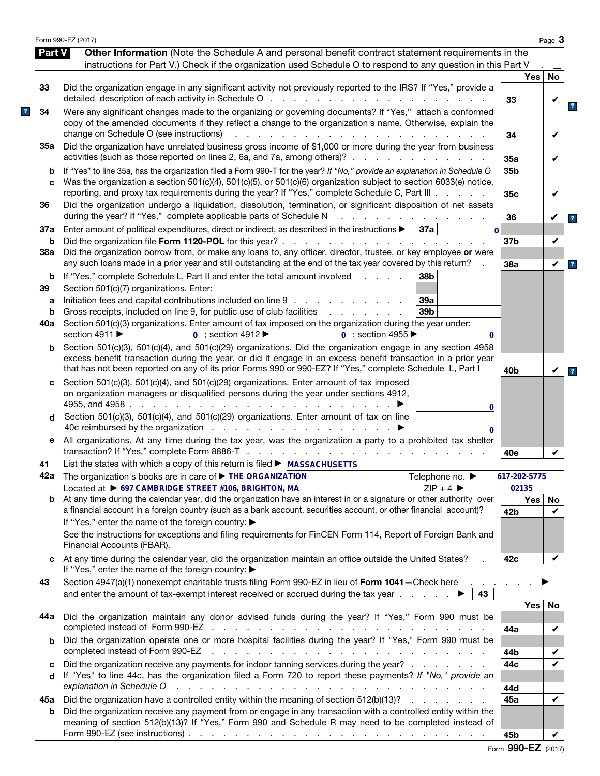|          | Form 990-EZ (2017)                                                                                                                                                                                                                                                                                                                        |                        |       | Page 3  |
|----------|-------------------------------------------------------------------------------------------------------------------------------------------------------------------------------------------------------------------------------------------------------------------------------------------------------------------------------------------|------------------------|-------|---------|
| Part V   | Other Information (Note the Schedule A and personal benefit contract statement requirements in the                                                                                                                                                                                                                                        |                        |       |         |
|          | instructions for Part V.) Check if the organization used Schedule O to respond to any question in this Part V                                                                                                                                                                                                                             |                        |       |         |
|          |                                                                                                                                                                                                                                                                                                                                           |                        | Yes   | No      |
| 33       | Did the organization engage in any significant activity not previously reported to the IRS? If "Yes," provide a<br>detailed description of each activity in Schedule O                                                                                                                                                                    | 33                     |       |         |
| 34       | Were any significant changes made to the organizing or governing documents? If "Yes," attach a conformed<br>copy of the amended documents if they reflect a change to the organization's name. Otherwise, explain the<br>change on Schedule O (see instructions)<br>$\mathbf{r}$                                                          | 34                     |       |         |
| 35а      | Did the organization have unrelated business gross income of \$1,000 or more during the year from business                                                                                                                                                                                                                                |                        |       |         |
| b        | activities (such as those reported on lines 2, 6a, and 7a, among others)?<br>If "Yes" to line 35a, has the organization filed a Form 990-T for the year? If "No," provide an explanation in Schedule O                                                                                                                                    | 35a<br>35 <sub>b</sub> |       |         |
| C        | Was the organization a section 501(c)(4), 501(c)(5), or 501(c)(6) organization subject to section 6033(e) notice,<br>reporting, and proxy tax requirements during the year? If "Yes," complete Schedule C, Part III                                                                                                                       | 35c                    |       | V       |
| 36       | Did the organization undergo a liquidation, dissolution, termination, or significant disposition of net assets<br>during the year? If "Yes," complete applicable parts of Schedule N                                                                                                                                                      | 36                     |       |         |
| 37a      | Enter amount of political expenditures, direct or indirect, as described in the instructions $\blacktriangleright$<br>  37a  <br>$\mathbf{0}$                                                                                                                                                                                             |                        |       |         |
| b<br>38a | Did the organization file Form 1120-POL for this year?.<br>and the contract of the contract of the<br>Did the organization borrow from, or make any loans to, any officer, director, trustee, or key employee or were                                                                                                                     | 37b                    |       | V       |
|          | any such loans made in a prior year and still outstanding at the end of the tax year covered by this return?<br>38b                                                                                                                                                                                                                       | 38a                    |       | V       |
| b<br>39  | If "Yes," complete Schedule L, Part II and enter the total amount involved<br>and a state<br>Section 501(c)(7) organizations. Enter:                                                                                                                                                                                                      |                        |       |         |
| а        | Initiation fees and capital contributions included on line 9<br>39a                                                                                                                                                                                                                                                                       |                        |       |         |
| b        | Gross receipts, included on line 9, for public use of club facilities<br>39b<br>and a state of the state of the                                                                                                                                                                                                                           |                        |       |         |
| 40a      | Section 501(c)(3) organizations. Enter amount of tax imposed on the organization during the year under:<br>section 4911 ▶<br>$\overline{0}$ ; section 4912<br>$\overline{0}$ : section 4955<br>0                                                                                                                                          |                        |       |         |
| b        | Section 501(c)(3), 501(c)(4), and 501(c)(29) organizations. Did the organization engage in any section 4958<br>excess benefit transaction during the year, or did it engage in an excess benefit transaction in a prior year<br>that has not been reported on any of its prior Forms 990 or 990-EZ? If "Yes," complete Schedule L, Part I | 40 <sub>b</sub>        |       |         |
| c        | Section 501(c)(3), 501(c)(4), and 501(c)(29) organizations. Enter amount of tax imposed<br>on organization managers or disqualified persons during the year under sections 4912,<br>4955, and 4958.<br>and a state of the state of the state<br>0                                                                                         |                        |       |         |
| d        | Section 501(c)(3), 501(c)(4), and 501(c)(29) organizations. Enter amount of tax on line<br>40c reimbursed by the organization $\cdots$ $\cdots$ $\cdots$ $\cdots$ $\cdots$<br>0                                                                                                                                                           |                        |       |         |
| е        | All organizations. At any time during the tax year, was the organization a party to a prohibited tax shelter<br>transaction? If "Yes," complete Form 8886-T.<br>the contract of the contract of the contract of the contract of the contract of the contract of the contract of                                                           | 40e                    |       |         |
| 41       | List the states with which a copy of this return is filed ▶ MASSACHUSETTS                                                                                                                                                                                                                                                                 |                        |       |         |
|          | Telephone no. ▶                                                                                                                                                                                                                                                                                                                           | 617-202-5775           |       |         |
|          | Located at ▶ 697 CAMBRIDGE STREET #106, BRIGHTON, MA<br>$ZIP + 4$                                                                                                                                                                                                                                                                         |                        | 02135 |         |
| b        | At any time during the calendar year, did the organization have an interest in or a signature or other authority over<br>a financial account in a foreign country (such as a bank account, securities account, or other financial account)?<br>If "Yes," enter the name of the foreign country: ▶                                         | 42 <sub>b</sub>        | Yes   | No<br>✓ |
|          | See the instructions for exceptions and filing requirements for FinCEN Form 114, Report of Foreign Bank and<br>Financial Accounts (FBAR).                                                                                                                                                                                                 |                        |       |         |
| c        | At any time during the calendar year, did the organization maintain an office outside the United States?<br>If "Yes," enter the name of the foreign country: ▶                                                                                                                                                                            | 42c                    |       |         |
| 43       | Section 4947(a)(1) nonexempt charitable trusts filing Form 990-EZ in lieu of Form 1041-Check here<br>and enter the amount of tax-exempt interest received or accrued during the tax year $\ldots$ .<br>43                                                                                                                                 |                        |       |         |
|          |                                                                                                                                                                                                                                                                                                                                           |                        | Yes   | No      |
| 44а      | Did the organization maintain any donor advised funds during the year? If "Yes," Form 990 must be                                                                                                                                                                                                                                         | 44a                    |       | V       |
| b        | Did the organization operate one or more hospital facilities during the year? If "Yes," Form 990 must be<br>completed instead of Form 990-EZ<br>and the contract of the contract of the contract of the contract of the contract of the contract of the contract of                                                                       |                        |       |         |
| c        | Did the organization receive any payments for indoor tanning services during the year?                                                                                                                                                                                                                                                    | 44b<br>44c             |       |         |
| d        | If "Yes" to line 44c, has the organization filed a Form 720 to report these payments? If "No," provide an                                                                                                                                                                                                                                 |                        |       |         |
|          | explanation in Schedule O<br>and a construction of the construction of the construction of the construction of the construction of the construction of the construction of the construction of the construction of the construction of the construction of                                                                                | 44d                    |       |         |
| 45а<br>b | Did the organization have a controlled entity within the meaning of section 512(b)(13)?<br>Did the organization receive any payment from or engage in any transaction with a controlled entity within the                                                                                                                                 | 45a                    |       | ✓       |
|          | meaning of section 512(b)(13)? If "Yes," Form 990 and Schedule R may need to be completed instead of<br>Form 990-EZ (see instructions) $\ldots$ $\ldots$ $\ldots$ $\ldots$ $\ldots$ $\ldots$ $\ldots$ $\ldots$ $\ldots$ $\ldots$ $\ldots$                                                                                                 | 45b                    |       | V       |

|  | Form 990-EZ (2017) |  |
|--|--------------------|--|
|--|--------------------|--|